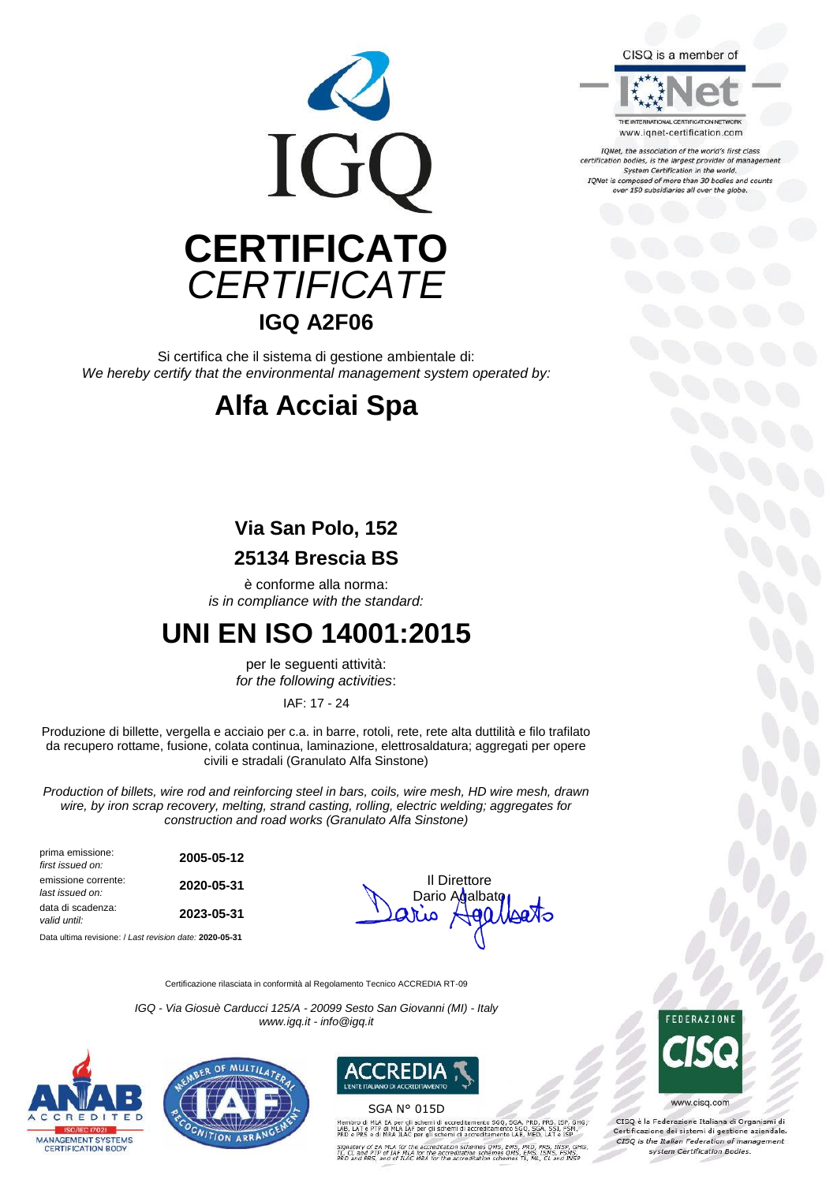

Si certifica che il sistema di gestione ambientale di: *We hereby certify that the environmental management system operated by:*

## **Alfa Acciai Spa**

## **Via San Polo, 152**

### **25134 Brescia BS**

è conforme alla norma: *is in compliance with the standard:*

## **UNI EN ISO 14001:2015**

per le seguenti attività: *for the following activities*:

IAF: 17 - 24

Produzione di billette, vergella e acciaio per c.a. in barre, rotoli, rete, rete alta duttilità e filo trafilato da recupero rottame, fusione, colata continua, laminazione, elettrosaldatura; aggregati per opere civili e stradali (Granulato Alfa Sinstone)

*Production of billets, wire rod and reinforcing steel in bars, coils, wire mesh, HD wire mesh, drawn wire, by iron scrap recovery, melting, strand casting, rolling, electric welding; aggregates for construction and road works (Granulato Alfa Sinstone)*

| prima emissione:<br>first issued on:   | 2005-05-12 |                              |
|----------------------------------------|------------|------------------------------|
| emissione corrente:<br>last issued on: | 2020-05-31 | Il Direttore<br>Dario Agalba |
| data di scadenza:<br>valid until:      | 2023-05-31 | $\forall$ eo<br>Satio        |

Data ultima revisione: / *Last revision date:* **2020-05-31**

Dario Agalbato **ا من**ال

Certificazione rilasciata in conformità al Regolamento Tecnico ACCREDIA RT-09

*IGQ - Via Giosuè Carducci 125/A - 20099 Sesto San Giovanni (MI) - Italy www.igq.it - info@igq.it*







SGA N° 015D

.<br>ILA EA per gli schemi di acci<br>'TP di MLA IAF per gli schem



www.cisg.com

CISO è la Federazione Italiana di Organismi di Certificazione dei sistemi di gestione aziendale.<br>CESQ is the Italian Federation of management system Certification Bodies.

#### CISQ is a member of



www.ignet-certification.com

IQNet, the association of the world's first class certification bodies, is the largest provider of management<br>System Certification in the world. IQNet is composed of more than 30 bodies and counts<br>over 150 subsidiaries all over the globe.